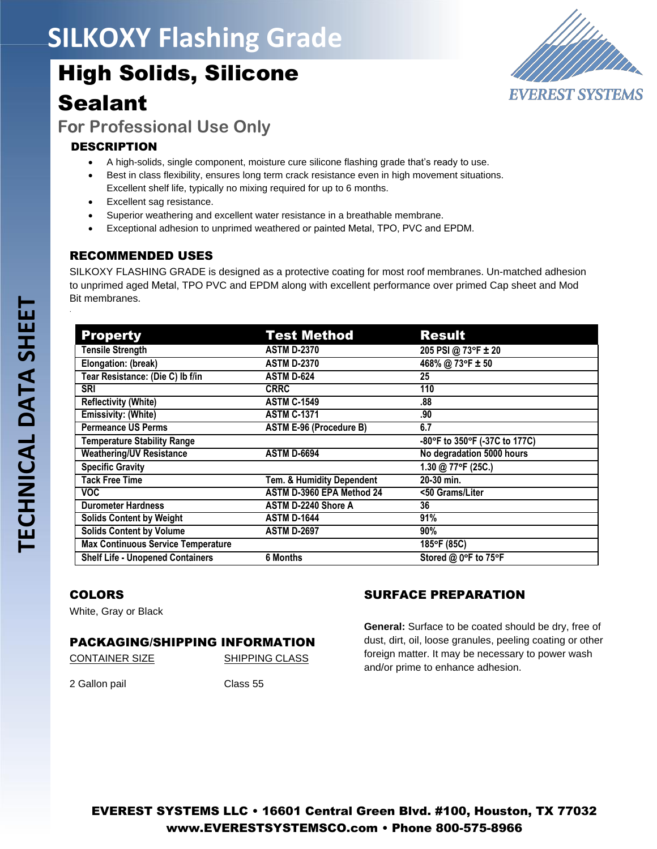# **SILKOXY Flashing Grade**

# High Solids, Silicone Sealant



**For Professional Use Only**

## **DESCRIPTION**

- A high-solids, single component, moisture cure silicone flashing grade that's ready to use.
- Best in class flexibility, ensures long term crack resistance even in high movement situations. Excellent shelf life, typically no mixing required for up to 6 months.
- Excellent sag resistance.
- Superior weathering and excellent water resistance in a breathable membrane.
- Exceptional adhesion to unprimed weathered or painted Metal, TPO, PVC and EPDM.

## RECOMMENDED USES

SILKOXY FLASHING GRADE is designed as a protective coating for most roof membranes. Un-matched adhesion to unprimed aged Metal, TPO PVC and EPDM along with excellent performance over primed Cap sheet and Mod Bit membranes.

| <b>Property</b>                           | <b>Test Method</b>             | <b>Result</b>                 |
|-------------------------------------------|--------------------------------|-------------------------------|
| <b>Tensile Strength</b>                   | <b>ASTM D-2370</b>             | 205 PSI @ 73°F ± 20           |
| Elongation: (break)                       | <b>ASTM D-2370</b>             | 468% @ 73°F ± 50              |
| Tear Resistance: (Die C) lb f/in          | <b>ASTM D-624</b>              | 25                            |
| <b>SRI</b>                                | <b>CRRC</b>                    | 110                           |
| <b>Reflectivity (White)</b>               | <b>ASTM C-1549</b>             | .88                           |
| <b>Emissivity: (White)</b>                | <b>ASTM C-1371</b>             | .90                           |
| <b>Permeance US Perms</b>                 | <b>ASTM E-96 (Procedure B)</b> | 6.7                           |
| <b>Temperature Stability Range</b>        |                                | -80°F to 350°F (-37C to 177C) |
| <b>Weathering/UV Resistance</b>           | <b>ASTM D-6694</b>             | No degradation 5000 hours     |
| <b>Specific Gravity</b>                   |                                | 1.30 @ 77°F (25C.)            |
| <b>Tack Free Time</b>                     | Tem. & Humidity Dependent      | 20-30 min.                    |
| VOC.                                      | ASTM D-3960 EPA Method 24      | <50 Grams/Liter               |
| <b>Durometer Hardness</b>                 | ASTM D-2240 Shore A            | 36                            |
| <b>Solids Content by Weight</b>           | <b>ASTM D-1644</b>             | 91%                           |
| <b>Solids Content by Volume</b>           | <b>ASTM D-2697</b>             | 90%                           |
| <b>Max Continuous Service Temperature</b> |                                | 185°F (85C)                   |
| <b>Shelf Life - Unopened Containers</b>   | <b>6 Months</b>                | Stored @ 0°F to 75°F          |

#### COLORS

White, Gray or Black

#### PACKAGING/SHIPPING INFORMATION

CONTAINER SIZE SHIPPING CLASS

2 Gallon pail Class 55

# SURFACE PREPARATION

**General:** Surface to be coated should be dry, free of dust, dirt, oil, loose granules, peeling coating or other foreign matter. It may be necessary to power wash and/or prime to enhance adhesion.

.